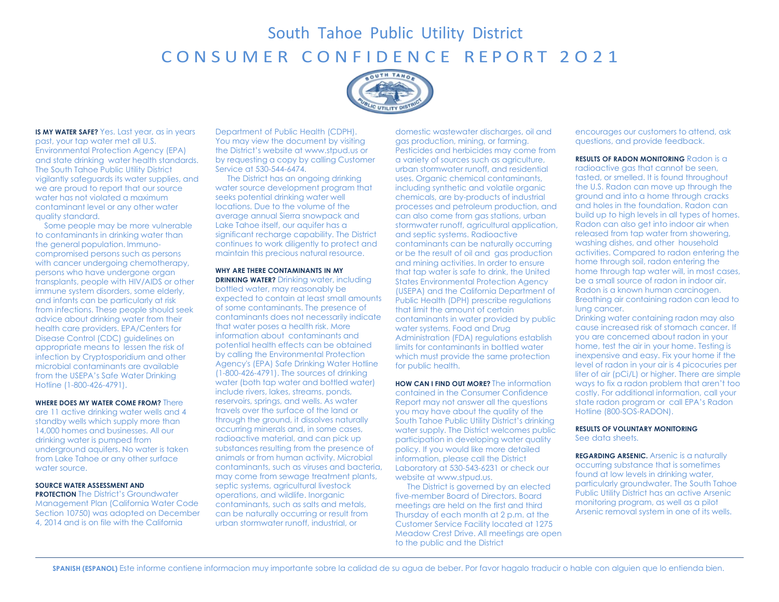# South Tahoe Public Utility District CONSUMER CONFIDENCE REPORT 2021



**IS MY WATER SAFE?** Yes. Last year, as in years past, your tap water met all U.S. Environmental Protection Agency (EPA) and state drinking water health standards. The South Tahoe Public Utility District vigilantly safeguards its water supplies, and we are proud to report that our source water has not violated a maximum contaminant level or any other water quality standard.

 Some people may be more vulnerable to contaminants in drinking water than the general population. Immunocompromised persons such as persons with cancer undergoing chemotherapy, persons who have undergone organ transplants, people with HIV/AIDS or other immune system disorders, some elderly, and infants can be particularly at risk from infections. These people should seek advice about drinking water from their health care providers. EPA/Centers for Disease Control (CDC) guidelines on appropriate means to lessen the risk of infection by Cryptosporidium and other microbial contaminants are available from the USEPA's Safe Water Drinking Hotline (1-800-426-4791).

**WHERE DOES MY WATER COME FROM?** There are 11 active drinking water wells and 4 standby wells which supply more than 14,000 homes and businesses. All our drinking water is pumped from underground aquifers. No water is taken from Lake Tahoe or any other surface water source.

### **SOURCE WATER ASSESSMENT AND**

**PROTECTION** The District's Groundwater Management Plan (California Water Code Section 10750) was adopted on December 4, 2014 and is on file with the California

Department of Public Health (CDPH). You may view the document by visiting the District's website at [www.stpud.us o](http://www.stpud.us/)r by requesting a copy by calling Customer Service at 530-544-6474.

The District has an ongoing drinking water source development program that seeks potential drinking water well locations. Due to the volume of the average annual Sierra snowpack and Lake Tahoe itself, our aquifer has a significant recharge capability. The District continues to work diligently to protect and maintain this precious natural resource.

**WHY ARE THERE CONTAMINANTS IN MY DRINKING WATER?** Drinking water, including bottled water, may reasonably be expected to contain at least small amounts of some contaminants. The presence of contaminants does not necessarily indicate that water poses a health risk. More information about contaminants and potential health effects can be obtained by calling the Environmental Protection Agency's (EPA) Safe Drinking Water Hotline (1-800-426-4791). The sources of drinking water (both tap water and bottled water) include rivers, lakes, streams, ponds, reservoirs, springs, and wells. As water travels over the surface of the land or through the ground, it dissolves naturally occurring minerals and, in some cases, radioactive material, and can pick up substances resulting from the presence of animals or from human activity. Microbial contaminants, such as viruses and bacteria, may come from sewage treatment plants, septic systems, agricultural livestock operations, and wildlife. Inorganic contaminants, such as salts and metals, can be naturally occurring or result from urban stormwater runoff, industrial, or

domestic wastewater discharges, oil and gas production, mining, or farming. Pesticides and herbicides may come from a variety of sources such as agriculture, urban stormwater runoff, and residential uses. Organic chemical contaminants, including synthetic and volatile organic chemicals, are by-products of industrial processes and petroleum production, and can also come from gas stations, urban stormwater runoff, agricultural application, and septic systems. Radioactive contaminants can be naturally occurring or be the result of oil and gas production and mining activities. In order to ensure that tap water is safe to drink, the United States Environmental Protection Agency (USEPA) and the California Department of Public Health (DPH) prescribe regulations that limit the amount of certain contaminants in water provided by public water systems. Food and Drug Administration (FDA) regulations establish limits for contaminants in bottled water which must provide the same protection for public health.

**HOW CAN I FIND OUT MORE?** The information contained in the Consumer Confidence Report may not answer all the questions you may have about the quality of the South Tahoe Public Utility District's drinking water supply. The District welcomes public participation in developing water quality policy. If you would like more detailed information, please call the District Laboratory at 530-543-6231 or check our website a[t www.stpud.us.](http://www.stpud.us/)

The District is governed by an elected five-member Board of Directors. Board meetings are held on the first and third Thursday of each month at 2 p.m. at the Customer Service Facility located at 1275 Meadow Crest Drive. All meetings are open to the public and the District

encourages our customers to attend, ask questions, and provide feedback.

**RESULTS OF RADON MONITORING** Radon is a radioactive gas that cannot be seen, tasted, or smelled. It is found throughout the U.S. Radon can move up through the ground and into a home through cracks and holes in the foundation. Radon can build up to high levels in all types of homes. Radon can also get into indoor air when released from tap water from showering, washing dishes, and other household activities. Compared to radon entering the home through soil, radon entering the home through tap water will, in most cases, be a small source of radon in indoor air. Radon is a known human carcinogen. Breathing air containing radon can lead to lung cancer.

Drinking water containing radon may also cause increased risk of stomach cancer. If you are concerned about radon in your home, test the air in your home. Testing is inexpensive and easy. Fix your home if the level of radon in your air is 4 picocuries per liter of air (pCi/L) or higher. There are simple ways to fix a radon problem that aren't too costly. For additional information, call your state radon program or call EPA's Radon Hotline (800-SOS-RADON).

#### **RESULTS OF VOLUNTARY MONITORING** See data sheets.

**REGARDING ARSENIC.** Arsenic is a naturally occurring substance that is sometimes found at low levels in drinking water, particularly groundwater. The South Tahoe Public Utility District has an active Arsenic monitoring program, as well as a pilot Arsenic removal system in one of its wells.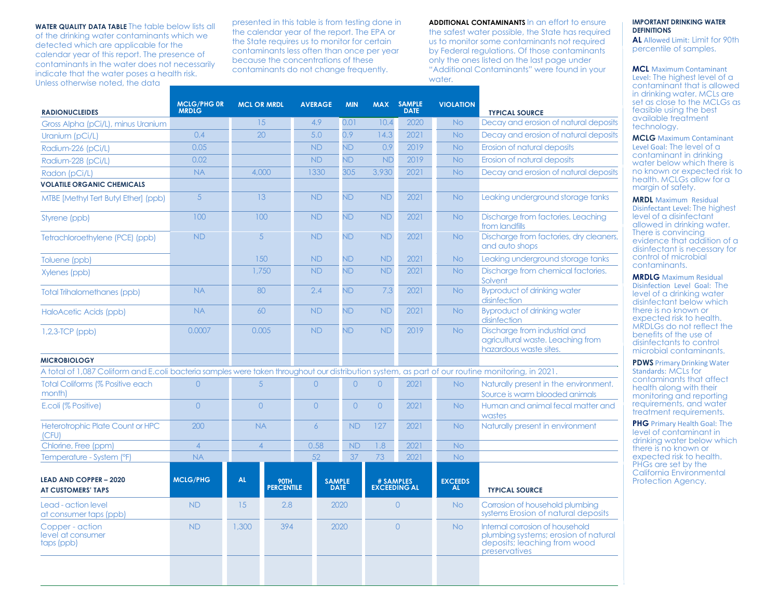**WATER QUALITY DATA TABLE** The table below lists all of the drinking water contaminants which we detected which are applicable for the calendar year of this report. The presence of contaminants in the water does not necessarily indicate that the water poses a health risk. Unless otherwise noted, the data

presented in this table is from testing done in the calendar year of the report. The EPA or the State requires us to monitor for certain contaminants less often than once per year because the concentrations of these contaminants do not change frequently.

**ADDITIONAL CONTAMINANTS** In an effort to ensure the safest water possible, the State has required us to monitor some contaminants not required by Federal regulations. Of those contaminants only the ones listed on the last page under "Additional Contaminants" were found in your water.

| <b>RADIONUCLEIDES</b>                                                                                                                            | <b>MCLG/PHG OR</b><br><b>MRDLG</b> | <b>MCL OR MRDL</b>              | <b>AVERAGE</b> | <b>MIN</b>                   |                | MAX SAMPLE<br><b>DATE</b> | <b>VIOLATION</b> | <b>TYPICAL SOURCE</b>                                                                                                    |
|--------------------------------------------------------------------------------------------------------------------------------------------------|------------------------------------|---------------------------------|----------------|------------------------------|----------------|---------------------------|------------------|--------------------------------------------------------------------------------------------------------------------------|
| Gross Alpha (pCi/L), minus Uranium                                                                                                               |                                    | 15                              | 4.9            | 0.01                         | 10.4           | 2020                      | <b>No</b>        | Decay and erosion of natural deposits                                                                                    |
| Uranium (pCi/L)                                                                                                                                  | 0.4                                | 20                              | 5.0            | 0.9                          | 14.3           | 2021                      | <b>No</b>        | Decay and erosion of natural deposits                                                                                    |
| Radium-226 (pCi/L)                                                                                                                               | 0.05                               |                                 | <b>ND</b>      | <b>ND</b>                    | 0.9            | 2019                      | <b>No</b>        | Erosion of natural deposits                                                                                              |
| Radium-228 (pCi/L)                                                                                                                               | 0.02                               |                                 | <b>ND</b>      | <b>ND</b>                    | <b>ND</b>      | 2019                      | <b>No</b>        | Erosion of natural deposits                                                                                              |
| Radon (pCi/L)                                                                                                                                    | <b>NA</b>                          | 4,000                           | 1330           | 305                          | 3,930          | 2021                      | <b>No</b>        | Decay and erosion of natural deposits                                                                                    |
| <b>VOLATILE ORGANIC CHEMICALS</b>                                                                                                                |                                    |                                 |                |                              |                |                           |                  |                                                                                                                          |
| MTBE [Methyl Tert Butyl Ether] (ppb)                                                                                                             | 5                                  | 13                              | <b>ND</b>      | <b>ND</b>                    | <b>ND</b>      | 2021                      | <b>No</b>        | Leaking underground storage tanks                                                                                        |
| Styrene (ppb)                                                                                                                                    | 100                                | 100                             | <b>ND</b>      | <b>ND</b>                    | <b>ND</b>      | 2021                      | <b>No</b>        | Discharge from factories. Leaching<br>from landfills                                                                     |
| Tetrachloroethylene (PCE) (ppb)                                                                                                                  | <b>ND</b>                          | $\overline{5}$                  | <b>ND</b>      | <b>ND</b>                    | <b>ND</b>      | 2021                      | <b>No</b>        | Discharge from factories, dry cleaners,<br>and auto shops                                                                |
| Toluene (ppb)                                                                                                                                    |                                    | 150                             | <b>ND</b>      | ND.                          | <b>ND</b>      | 2021                      | <b>No</b>        | Leaking underground storage tanks                                                                                        |
| Xylenes (ppb)                                                                                                                                    |                                    | 1.750                           | <b>ND</b>      | <b>ND</b>                    | <b>ND</b>      | 2021                      | <b>No</b>        | Discharge from chemical factories.<br>Solvent                                                                            |
| <b>Total Trihalomethanes (ppb)</b>                                                                                                               | <b>NA</b>                          | 80                              | 2.4            | <b>ND</b>                    | 7.3            | 2021                      | <b>No</b>        | <b>Byproduct of drinking water</b><br>disinfection                                                                       |
| HaloAcetic Acids (ppb)                                                                                                                           | <b>NA</b>                          | 60                              | <b>ND</b>      | <b>ND</b>                    | <b>ND</b>      | 2021                      | <b>No</b>        | <b>Byproduct of drinking water</b><br>disinfection                                                                       |
| $1,2,3$ -TCP (ppb)                                                                                                                               | 0.0007                             | 0.005                           | <b>ND</b>      | <b>ND</b>                    | <b>ND</b>      | 2019                      | <b>No</b>        | Discharge from industrial and<br>agricultural waste. Leaching from<br>hazardous waste sites.                             |
| <b>MICROBIOLOGY</b>                                                                                                                              |                                    |                                 |                |                              |                |                           |                  |                                                                                                                          |
| A total of 1,087 Coliform and E.coli bacteria samples were taken throughout our distribution system, as part of our routine monitoring, in 2021. |                                    |                                 |                |                              |                |                           |                  |                                                                                                                          |
| <b>Total Coliforms (% Positive each</b><br>month)                                                                                                | $\overline{O}$                     | 5                               | $\overline{O}$ | $\overline{O}$               | $\overline{O}$ | 2021                      | <b>No</b>        | Naturally present in the environment.<br>Source is warm blooded animals                                                  |
| E.coli (% Positive)                                                                                                                              | $\overline{0}$                     | $\overline{0}$                  | $\overline{0}$ | $\Omega$                     | $\overline{0}$ | 2021                      | <b>No</b>        | Human and animal fecal matter and<br>wastes                                                                              |
| <b>Heterotrophic Plate Count or HPC</b><br>(CFU)                                                                                                 | 200                                | <b>NA</b>                       | 6              | <b>ND</b>                    | 127            | 2021                      | <b>No</b>        | Naturally present in environment                                                                                         |
| Chlorine, Free (ppm)                                                                                                                             | $\overline{4}$                     | $\overline{4}$                  | 0.58           | <b>ND</b>                    | 1.8            | 2021                      | <b>No</b>        |                                                                                                                          |
| Temperature - System (°F)                                                                                                                        | <b>NA</b>                          |                                 | 52             | 37                           | 73             | 2021                      | <b>No</b>        |                                                                                                                          |
| <b>LEAD AND COPPER - 2020</b><br><b>AT CUSTOMERS' TAPS</b>                                                                                       | <b>MCLG/PHG</b>                    | <b>AL</b><br>90TH<br>PERCENTILE |                | <b>SAMPLE</b><br><b>DATE</b> |                | # SAMPLES<br>EXCEEDING AL |                  | <b>TYPICAL SOURCE</b>                                                                                                    |
| Lead - action level<br>at consumer taps (ppb)                                                                                                    | <b>ND</b>                          | 15                              | 2.8            | 2020                         |                | $\Omega$                  | <b>No</b>        | Corrosion of household plumbing<br>systems Erosion of natural deposits                                                   |
| Copper - action<br>level at consumer<br>taps (ppb)                                                                                               | <b>ND</b>                          | 1,300                           | 394            | $\Omega$<br>2020             |                |                           | <b>No</b>        | Internal corrosion of household<br>plumbing systems; erosion of natural<br>deposits; leaching from wood<br>preservatives |
|                                                                                                                                                  |                                    |                                 |                |                              |                |                           |                  |                                                                                                                          |

# **IMPORTANT DRINKING WATER DEFINITIONS**

**AL** Allowed Limit: Limit for 90th percentile of samples.

## **MCL** Maximum Contaminant

Level: The highest level of a contaminant that is allowed in drinking water. MCLs are set as close to the MCLGs as feasible using the best available treatment technology.

**MCLG** Maximum Contaminant Level Goal: The level of a contaminant in drinking water below which there is no known or expected risk to health. MCLGs allow for a margin of safety.

**MRDL** Maximum Residual Disinfectant Level: The highest level of a disinfectant allowed in drinking water. There is convincing evidence that addition of a disinfectant is necessary for control of microbial contaminants.

**MRDLG** Maximum Residual Disinfection Level Goal: The level of a drinking water disinfectant below which there is no known or expected risk to health. MRDLGs do not reflect the benefits of the use of disinfectants to control microbial contaminants.

**PDWS** Primary Drinking Water Standards: MCLs for contaminants that affect health along with their monitoring and reporting requirements, and water treatment requirements.

**PHG** Primary Health Goal: The level of contaminant in drinking water below which there is no known or expected risk to health. PHGs are set by the California Environmental Protection Agency.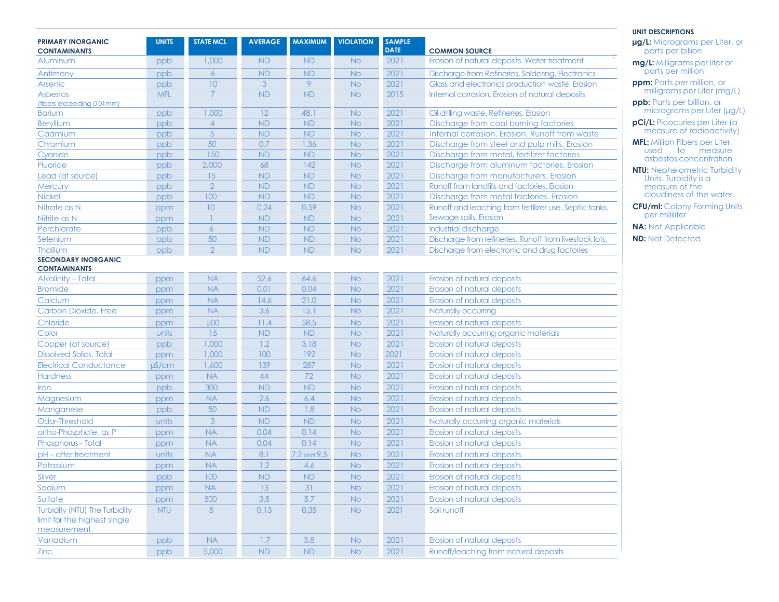|                                                                               |              |                      |                  |                        |                        |                              |                                                                                         | <b>UNIT DESCRIPTIONS</b>                                   |
|-------------------------------------------------------------------------------|--------------|----------------------|------------------|------------------------|------------------------|------------------------------|-----------------------------------------------------------------------------------------|------------------------------------------------------------|
| <b>PRIMARY INORGANIC</b><br><b>CONTAMINANTS</b>                               | <b>UNITS</b> | <b>STATE MCL</b>     | <b>AVERAGE</b>   | <b>MAXIMUM</b>         | <b>VIOLATION</b>       | <b>SAMPLE</b><br><b>DATE</b> | <b>COMMON SOURCE</b>                                                                    | <b>µg/L:</b> Micrograms per Liter, or<br>parts per billion |
| Aluminum                                                                      | ppb          | 1,000                | ND               | <b>ND</b>              | <b>No</b>              | 2021                         | Erosion of natural deposits. Water treatment                                            | mg/L: Milligrams per liter or                              |
| Antimony                                                                      | ppb          | 6                    | <b>ND</b>        | <b>ND</b>              | No.                    | 2021                         | Discharge from Refineries, Soldering, Electronics                                       | parts per million                                          |
| Arsenic                                                                       | ppb          | 10                   | 3                | 9                      | <b>No</b>              | 2021                         | Glass and electronics production waste. Erosion                                         | <b>ppm:</b> Parts per million, or                          |
| Asbestos                                                                      | <b>MFL</b>   | $\overline{7}$       | <b>ND</b>        | <b>ND</b>              | <b>No</b>              | 2015                         | Internal corrosion. Erosion of natural deposits                                         | milligrams per Liter (mg/L)                                |
| (fibers exceeding 0.01mm)                                                     |              |                      |                  |                        |                        |                              |                                                                                         | ppb: Parts per billion, or<br>micrograms per Liter (µg/L)  |
| <b>Barium</b>                                                                 | ppb          | 1,000                | 12               | 48.1                   | <b>No</b>              | 2021                         | Oil drilling waste. Refineries. Erosion                                                 | <b>pCi/L:</b> Picocuries per Liter (a                      |
| Beryllium                                                                     | ppb          | $\overline{4}$       | <b>ND</b>        | <b>ND</b>              | <b>No</b>              | 2021                         | Discharge from coal burning factories                                                   | measure of radioactivity)                                  |
| Cadmium                                                                       | ppb          | $\overline{5}$       | <b>ND</b>        | <b>ND</b>              | <b>No</b>              | 2021                         | Internal corrosion. Erosion. Runoff from waste                                          | <b>MFL:</b> Million Fibers per Liter,                      |
| Chromium                                                                      | ppb          | 50<br>150            | 0.7<br><b>ND</b> | 1.36<br><b>ND</b>      | <b>No</b>              | 2021<br>2021                 | Discharge from steel and pulp mills. Erosion                                            | used to measure                                            |
| Cyanide<br>Fluoride                                                           | ppb          | 2,000                | 68               | 142                    | <b>No</b>              | 2021                         | Discharge from metal, fertilizer factories                                              | asbestos concentration                                     |
| Lead (at source)                                                              | ppb          | 15                   | ND               | <b>ND</b>              | <b>No</b><br><b>No</b> | 2021                         | Discharge from aluminum factories. Erosion<br>Discharge from manufacturers. Erosion     | <b>NTU:</b> Nephelometric Turbidity                        |
|                                                                               | ppb          | $\overline{2}$       | <b>ND</b>        |                        |                        | 2021                         |                                                                                         | Units. Turbidity is a                                      |
| <b>Mercury</b><br>Nickel                                                      | ppb          | 100                  | <b>ND</b>        | <b>ND</b><br><b>ND</b> | <b>No</b><br><b>No</b> | 2021                         | Runoff from landfills and factories. Erosion<br>Discharge from metal factories. Erosion | measure of the<br>cloudiness of the water.                 |
| Nitrate as N                                                                  | ppb          | 10 <sup>°</sup>      | 0.24             | 0.59                   | <b>No</b>              | 2021                         | Runoff and leaching from fertilizer use. Septic tanks.                                  | <b>CFU/ml: Colony Forming Units</b>                        |
| Nitrite as N                                                                  | ppm          |                      | <b>ND</b>        |                        |                        | 2021                         | Sewage spills. Erosion                                                                  | per milliliter                                             |
|                                                                               | ppm          |                      |                  | <b>ND</b>              | <b>No</b>              |                              |                                                                                         | <b>NA: Not Applicable</b>                                  |
| Perchlorate                                                                   | ppb          | $\overline{6}$<br>50 | <b>ND</b>        | <b>ND</b>              | <b>No</b>              | 2021                         | Industrial discharge                                                                    | <b>ND: Not Detected</b>                                    |
| Selenium                                                                      | ppb          | $\overline{2}$       | <b>ND</b>        | <b>ND</b>              | <b>No</b>              | 2021                         | Discharge from refineries. Runoff from livestock lots.                                  |                                                            |
| Thallium<br><b>SECONDARY INORGANIC</b>                                        | ppb          |                      | <b>ND</b>        | <b>ND</b>              | <b>No</b>              | 2021                         | Discharge from electronic and drug factories                                            |                                                            |
| <b>CONTAMINANTS</b>                                                           |              |                      |                  |                        |                        |                              |                                                                                         |                                                            |
| <b>Alkalinity - Total</b>                                                     | ppm          | <b>NA</b>            | 52.6             | 64.6                   | <b>No</b>              | 2021                         | Erosion of natural deposits                                                             |                                                            |
| <b>Bromide</b>                                                                | ppm          | <b>NA</b>            | 0.01             | 0.04                   | <b>No</b>              | 2021                         | Erosion of natural deposits                                                             |                                                            |
| Calcium                                                                       | ppm          | <b>NA</b>            | 14.6             | 21.0                   | <b>No</b>              | 2021                         | Erosion of natural deposits                                                             |                                                            |
| Carbon Dioxide, Free                                                          | ppm          | <b>NA</b>            | 3.6              | 15.1                   | <b>No</b>              | 2021                         | Naturally occurring                                                                     |                                                            |
| Chloride                                                                      | ppm          | 500                  | 11.4             | 58.5                   | <b>No</b>              | 2021                         | Erosion of natural deposits                                                             |                                                            |
| Color                                                                         | units        | 15                   | <b>ND</b>        | <b>ND</b>              | <b>No</b>              | 2021                         | Naturally occurring organic materials                                                   |                                                            |
| Copper (at source)                                                            | ppb          | 1,000                | 1.2              | 3.18                   | <b>No</b>              | 2021                         | Erosion of natural deposits                                                             |                                                            |
| <b>Dissolved Solids, Total</b>                                                | ppm          | 1,000                | 100              | 192                    | <b>No</b>              | 2021                         | Erosion of natural deposits                                                             |                                                            |
| <b>Electrical Conductance</b>                                                 | $\mu$ S/cm   | 1,600                | 139              | 287                    | <b>No</b>              | 2021                         | Erosion of natural deposits                                                             |                                                            |
| <b>Hardness</b>                                                               | ppm          | <b>NA</b>            | 44               | 72                     | <b>No</b>              | 2021                         | Erosion of natural deposits                                                             |                                                            |
| <b>Iron</b>                                                                   | ppb          | 300                  | ND               | <b>ND</b>              | <b>No</b>              | 2021                         | Erosion of natural deposits                                                             |                                                            |
| Magnesium                                                                     | ppm          | <b>NA</b>            | 2.6              | 6.4                    | <b>No</b>              | 2021                         | Erosion of natural deposits                                                             |                                                            |
| Manganese                                                                     | ppb          | 50                   | <b>ND</b>        | 1.8                    | <b>No</b>              | 2021                         | Erosion of natural deposits                                                             |                                                            |
| Odor-Threshold                                                                | units        | 3                    | <b>ND</b>        | <b>ND</b>              | <b>No</b>              | 2021                         | Naturally occurring organic materials                                                   |                                                            |
| ortho-Phosphate, as P                                                         | ppm          | <b>NA</b>            | 0.04             | 0.14                   | <b>No</b>              | 2021                         | Erosion of natural deposits                                                             |                                                            |
| Phosphorus - Total                                                            | ppm          | <b>NA</b>            | 0.04             | 0.14                   | No.                    | 2021                         | Erosion of natural deposits                                                             |                                                            |
| pH-after treatment                                                            | units        | <b>NA</b>            | 8.1              | 7.2 and 9.5            | <b>No</b>              | 2021                         | Erosion of natural deposits                                                             |                                                            |
| Potassium                                                                     | ppm          | <b>NA</b>            | 1.2              | 4.6                    | N <sub>o</sub>         | 2021                         | Erosion of natural deposits                                                             |                                                            |
| Silver                                                                        | ppb          | 100                  | <b>ND</b>        | <b>ND</b>              | <b>No</b>              | 2021                         | Erosion of natural deposits                                                             |                                                            |
| Sodium                                                                        | ppm          | <b>NA</b>            | 13               | 31                     | <b>No</b>              | 2021                         | Erosion of natural deposits                                                             |                                                            |
|                                                                               |              |                      |                  | 5.7                    |                        |                              |                                                                                         |                                                            |
| Sulfate                                                                       | ppm          | 500                  | 3.5              |                        | <b>No</b>              | 2021                         | Erosion of natural deposits                                                             |                                                            |
| Turbidity (NTU) The Turbidity<br>limit for the highest single<br>measurement. | <b>NTU</b>   | $5\overline{)}$      | 0.13             | 0.35                   | <b>No</b>              | 2021                         | Soil runoff                                                                             |                                                            |
| Vanadium                                                                      | ppb          | <b>NA</b>            | 1.7              | 3.8                    | <b>No</b>              | 2021                         | Erosion of natural deposits                                                             |                                                            |
| Zinc                                                                          | ppb          | 5,000                | ${\sf ND}$       | ${\sf ND}$             | $\mathsf{No}$          | 2021                         | Runoff/leaching from natural deposits                                                   |                                                            |